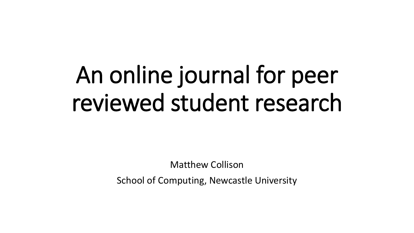# An online journal for peer reviewed student research

Matthew Collison

School of Computing, Newcastle University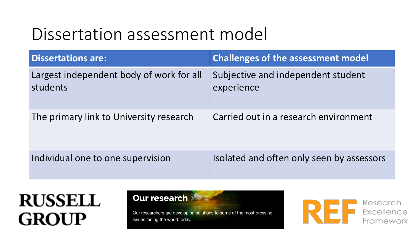### Dissertation assessment model

| <b>Dissertations are:</b>                            | <b>Challenges of the assessment model</b>        |
|------------------------------------------------------|--------------------------------------------------|
| Largest independent body of work for all<br>students | Subjective and independent student<br>experience |
| The primary link to University research              | Carried out in a research environment            |
| Individual one to one supervision                    | Isolated and often only seen by assessors        |

## **RUSSELL GROUP**

Our research >

Our researchers are developing solutions to some of the most pressing issues facing the world today.

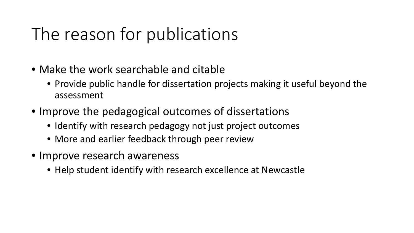### The reason for publications

- Make the work searchable and citable
	- Provide public handle for dissertation projects making it useful beyond the assessment
- Improve the pedagogical outcomes of dissertations
	- Identify with research pedagogy not just project outcomes
	- More and earlier feedback through peer review
- Improve research awareness
	- Help student identify with research excellence at Newcastle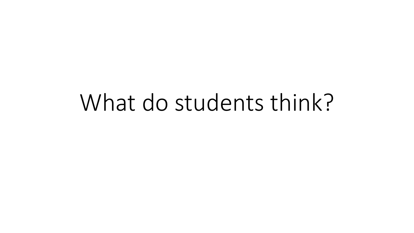## What do students think?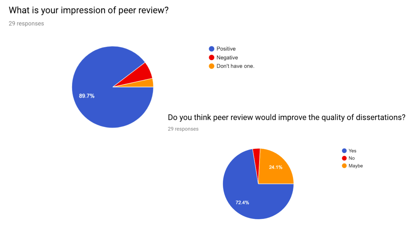#### What is your impression of peer review?

29 responses



#### Do you think peer review would improve the quality of dissertations?

29 responses

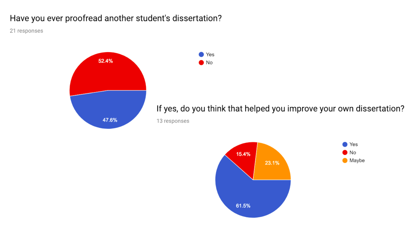#### Have you ever proofread another student's dissertation?

21 responses



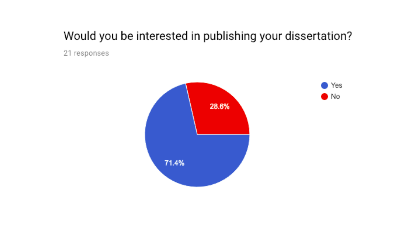### Would you be interested in publishing your dissertation?

21 responses

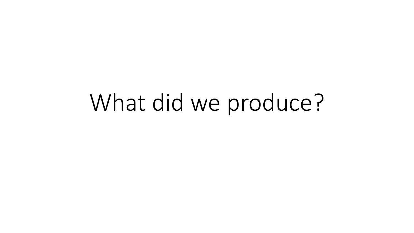## What did we produce?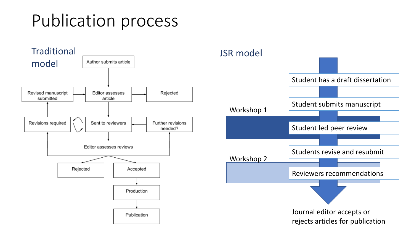### Publication process

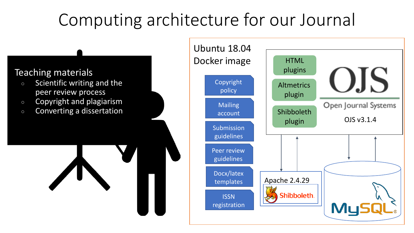## Computing architecture for our Journal